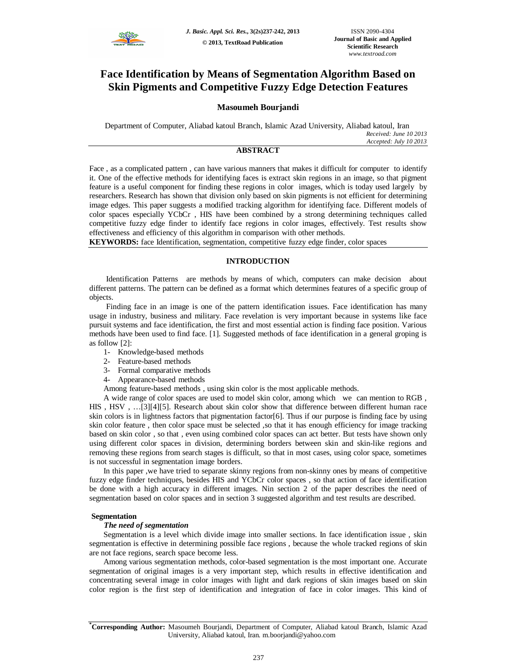

# **Face Identification by Means of Segmentation Algorithm Based on Skin Pigments and Competitive Fuzzy Edge Detection Features**

# **Masoumeh Bourjandi**

Department of Computer, Aliabad katoul Branch, Islamic Azad University, Aliabad katoul, Iran *Received: June 10 2013 Accepted: July 10 2013*

# **ABSTRACT**

Face , as a complicated pattern , can have various manners that makes it difficult for computer to identify it. One of the effective methods for identifying faces is extract skin regions in an image, so that pigment feature is a useful component for finding these regions in color images, which is today used largely by researchers. Research has shown that division only based on skin pigments is not efficient for determining image edges. This paper suggests a modified tracking algorithm for identifying face. Different models of color spaces especially YCbCr , HIS have been combined by a strong determining techniques called competitive fuzzy edge finder to identify face regions in color images, effectively. Test results show effectiveness and efficiency of this algorithm in comparison with other methods.

**KEYWORDS:** face Identification, segmentation, competitive fuzzy edge finder, color spaces

# **INTRODUCTION**

Identification Patterns are methods by means of which, computers can make decision about different patterns. The pattern can be defined as a format which determines features of a specific group of objects.

Finding face in an image is one of the pattern identification issues. Face identification has many usage in industry, business and military. Face revelation is very important because in systems like face pursuit systems and face identification, the first and most essential action is finding face position. Various methods have been used to find face. [1]. Suggested methods of face identification in a general groping is as follow [2]:

- 1- Knowledge-based methods
- 2- Feature-based methods
- 3- Formal comparative methods
- 4- Appearance-based methods

Among feature-based methods , using skin color is the most applicable methods.

A wide range of color spaces are used to model skin color, among which we can mention to RGB , HIS , HSV , …[3][4][5]. Research about skin color show that difference between different human race skin colors is in lightness factors that pigmentation factor[6]. Thus if our purpose is finding face by using skin color feature , then color space must be selected ,so that it has enough efficiency for image tracking based on skin color , so that , even using combined color spaces can act better. But tests have shown only using different color spaces in division, determining borders between skin and skin-like regions and removing these regions from search stages is difficult, so that in most cases, using color space, sometimes is not successful in segmentation image borders.

In this paper ,we have tried to separate skinny regions from non-skinny ones by means of competitive fuzzy edge finder techniques, besides HIS and YCbCr color spaces , so that action of face identification be done with a high accuracy in different images. Nin section 2 of the paper describes the need of segmentation based on color spaces and in section 3 suggested algorithm and test results are described.

# **Segmentation**

# *The need of segmentation*

Segmentation is a level which divide image into smaller sections. In face identification issue , skin segmentation is effective in determining possible face regions , because the whole tracked regions of skin are not face regions, search space become less.

Among various segmentation methods, color-based segmentation is the most important one. Accurate segmentation of original images is a very important step, which results in effective identification and concentrating several image in color images with light and dark regions of skin images based on skin color region is the first step of identification and integration of face in color images. This kind of

**<sup>\*</sup>Corresponding Author:** Masoumeh Bourjandi, Department of Computer, Aliabad katoul Branch, Islamic Azad University, Aliabad katoul, Iran. m.boorjandi@yahoo.com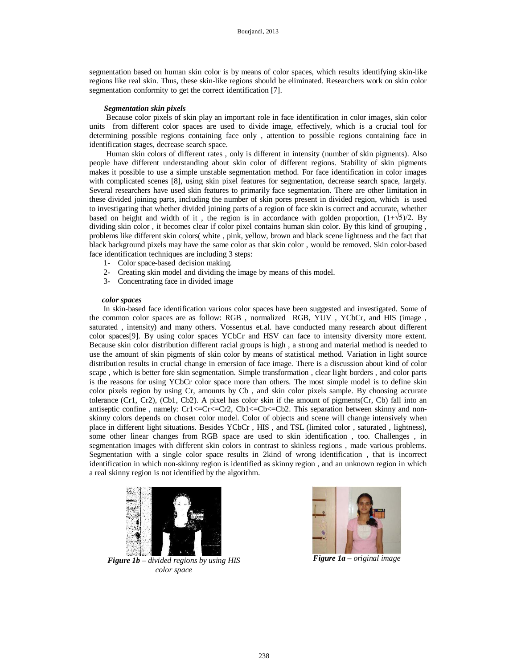segmentation based on human skin color is by means of color spaces, which results identifying skin-like regions like real skin. Thus, these skin-like regions should be eliminated. Researchers work on skin color segmentation conformity to get the correct identification [7].

### *Segmentation skin pixels*

Because color pixels of skin play an important role in face identification in color images, skin color units from different color spaces are used to divide image, effectively, which is a crucial tool for determining possible regions containing face only , attention to possible regions containing face in identification stages, decrease search space.

Human skin colors of different rates , only is different in intensity (number of skin pigments). Also people have different understanding about skin color of different regions. Stability of skin pigments makes it possible to use a simple unstable segmentation method. For face identification in color images with complicated scenes [8], using skin pixel features for segmentation, decrease search space, largely. Several researchers have used skin features to primarily face segmentation. There are other limitation in these divided joining parts, including the number of skin pores present in divided region, which is used to investigating that whether divided joining parts of a region of face skin is correct and accurate, whether based on height and width of it, the region is in accordance with golden proportion,  $(1+\sqrt{5})/2$ . By dividing skin color , it becomes clear if color pixel contains human skin color. By this kind of grouping , problems like different skin colors( white , pink, yellow, brown and black scene lightness and the fact that black background pixels may have the same color as that skin color , would be removed. Skin color-based face identification techniques are including 3 steps:

- 1- Color space-based decision making.
- 2- Creating skin model and dividing the image by means of this model.
- 3- Concentrating face in divided image

#### *color spaces*

In skin-based face identification various color spaces have been suggested and investigated. Some of the common color spaces are as follow: RGB , normalized RGB, YUV , YCbCr, and HIS (image , saturated , intensity) and many others. Vossentus et.al. have conducted many research about different color spaces[9]. By using color spaces YCbCr and HSV can face to intensity diversity more extent. Because skin color distribution different racial groups is high , a strong and material method is needed to use the amount of skin pigments of skin color by means of statistical method. Variation in light source distribution results in crucial change in emersion of face image. There is a discussion about kind of color scape , which is better fore skin segmentation. Simple transformation , clear light borders , and color parts is the reasons for using YCbCr color space more than others. The most simple model is to define skin color pixels region by using Cr, amounts by Cb , and skin color pixels sample. By choosing accurate tolerance  $(Cr1, Cr2)$ ,  $(Cb1, Cb2)$ . A pixel has color skin if the amount of pigments $(Cr, Cb)$  fall into an antiseptic confine, namely:  $Cr1 \leq -Cr \leq Cr2$ ,  $Cb1 \leq -Cb \leq -Cb$ . This separation between skinny and nonskinny colors depends on chosen color model. Color of objects and scene will change intensively when place in different light situations. Besides YCbCr , HIS , and TSL (limited color , saturated , lightness), some other linear changes from RGB space are used to skin identification , too. Challenges , in segmentation images with different skin colors in contrast to skinless regions , made various problems. Segmentation with a single color space results in 2kind of wrong identification , that is incorrect identification in which non-skinny region is identified as skinny region , and an unknown region in which a real skinny region is not identified by the algorithm.



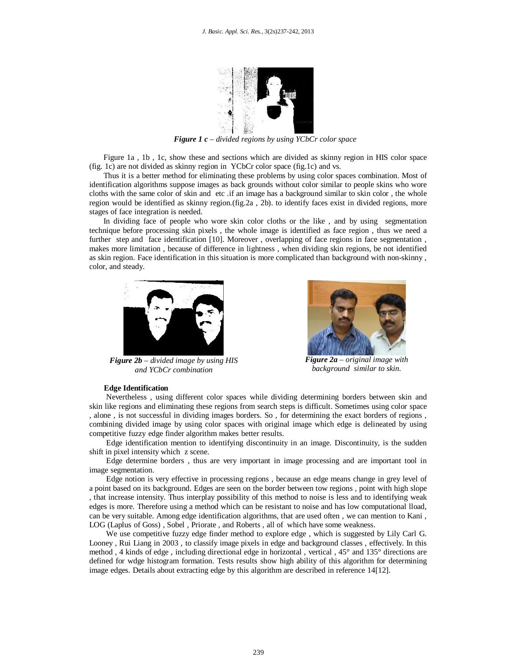

*Figure 1 c – divided regions by using YCbCr color space*

Figure 1a , 1b , 1c, show these and sections which are divided as skinny region in HIS color space (fig. 1c) are not divided as skinny region in YCbCr color space (fig.1c) and vs.

Thus it is a better method for eliminating these problems by using color spaces combination. Most of identification algorithms suppose images as back grounds without color similar to people skins who wore cloths with the same color of skin and etc .if an image has a background similar to skin color , the whole region would be identified as skinny region.(fig.2a , 2b). to identify faces exist in divided regions, more stages of face integration is needed.

In dividing face of people who wore skin color cloths or the like , and by using segmentation technique before processing skin pixels , the whole image is identified as face region , thus we need a further step and face identification [10]. Moreover , overlapping of face regions in face segmentation , makes more limitation , because of difference in lightness , when dividing skin regions, be not identified as skin region. Face identification in this situation is more complicated than background with non-skinny , color, and steady.



*Figure 2b – divided image by using HIS and YCbCr combination*



*Figure 2a – original image with background similar to skin.*

# **Edge Identification**

Nevertheless , using different color spaces while dividing determining borders between skin and skin like regions and eliminating these regions from search steps is difficult. Sometimes using color space , alone , is not successful in dividing images borders. So , for determining the exact borders of regions , combining divided image by using color spaces with original image which edge is delineated by using competitive fuzzy edge finder algorithm makes better results.

Edge identification mention to identifying discontinuity in an image. Discontinuity, is the sudden shift in pixel intensity which z scene.

Edge determine borders , thus are very important in image processing and are important tool in image segmentation.

Edge notion is very effective in processing regions , because an edge means change in grey level of a point based on its background. Edges are seen on the border between tow regions , point with high slope , that increase intensity. Thus interplay possibility of this method to noise is less and to identifying weak edges is more. Therefore using a method which can be resistant to noise and has low computational lload, can be very suitable. Among edge identification algorithms, that are used often , we can mention to Kani , LOG (Laplus of Goss) , Sobel , Priorate , and Roberts , all of which have some weakness.

We use competitive fuzzy edge finder method to explore edge , which is suggested by Lily Carl G. Looney , Rui Liang in 2003 , to classify image pixels in edge and background classes , effectively. In this method , 4 kinds of edge , including directional edge in horizontal , vertical , 45° and 135° directions are defined for wdge histogram formation. Tests results show high ability of this algorithm for determining image edges. Details about extracting edge by this algorithm are described in reference 14[12].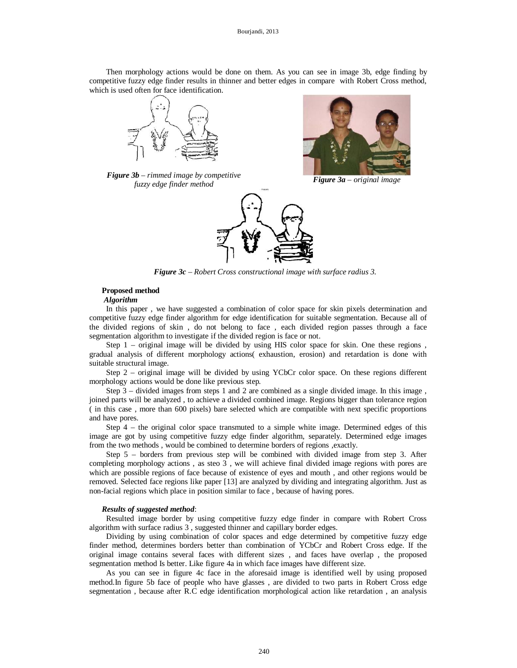Then morphology actions would be done on them. As you can see in image 3b, edge finding by competitive fuzzy edge finder results in thinner and better edges in compare with Robert Cross method, which is used often for face identification.









*Figure 3c – Robert Cross constructional image with surface radius 3.*

# **Proposed method**

# *Algorithm*

In this paper , we have suggested a combination of color space for skin pixels determination and competitive fuzzy edge finder algorithm for edge identification for suitable segmentation. Because all of the divided regions of skin , do not belong to face , each divided region passes through a face segmentation algorithm to investigate if the divided region is face or not.

Step 1 – original image will be divided by using HIS color space for skin. One these regions , gradual analysis of different morphology actions( exhaustion, erosion) and retardation is done with suitable structural image.

Step 2 – original image will be divided by using YCbCr color space. On these regions different morphology actions would be done like previous step.

Step  $3$  – divided images from steps 1 and 2 are combined as a single divided image. In this image, joined parts will be analyzed , to achieve a divided combined image. Regions bigger than tolerance region ( in this case , more than 600 pixels) bare selected which are compatible with next specific proportions and have pores.

Step 4 – the original color space transmuted to a simple white image. Determined edges of this image are got by using competitive fuzzy edge finder algorithm, separately. Determined edge images from the two methods , would be combined to determine borders of regions ,exactly.

Step 5 – borders from previous step will be combined with divided image from step 3. After completing morphology actions , as steo 3 , we will achieve final divided image regions with pores are which are possible regions of face because of existence of eyes and mouth , and other regions would be removed. Selected face regions like paper [13] are analyzed by dividing and integrating algorithm. Just as non-facial regions which place in position similar to face , because of having pores.

# *Results of suggested method*:

Resulted image border by using competitive fuzzy edge finder in compare with Robert Cross algorithm with surface radius 3 , suggested thinner and capillary border edges.

Dividing by using combination of color spaces and edge determined by competitive fuzzy edge finder method, determines borders better than combination of YCbCr and Robert Cross edge. If the original image contains several faces with different sizes , and faces have overlap , the proposed segmentation method Is better. Like figure 4a in which face images have different size.

As you can see in figure 4c face in the aforesaid image is identified well by using proposed method.In figure 5b face of people who have glasses , are divided to two parts in Robert Cross edge segmentation , because after R.C edge identification morphological action like retardation , an analysis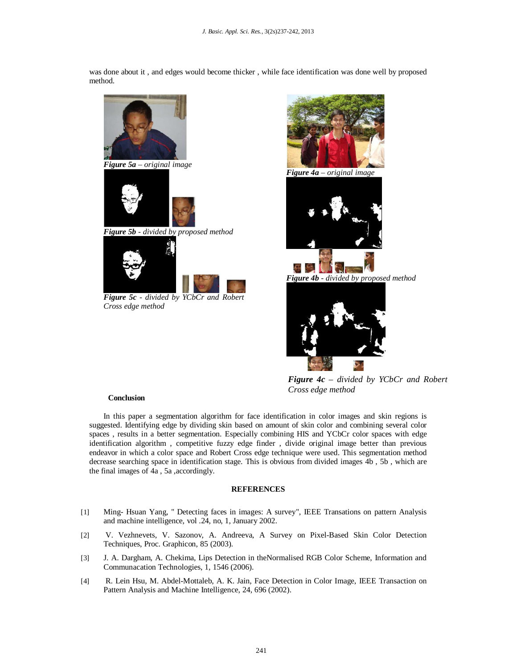was done about it , and edges would become thicker , while face identification was done well by proposed method.



*Figure 5c - divided by YCbCr and Robert Cross edge method*



*Figure 4c – divided by YCbCr and Robert Cross edge method*

# **Conclusion**

In this paper a segmentation algorithm for face identification in color images and skin regions is suggested. Identifying edge by dividing skin based on amount of skin color and combining several color spaces , results in a better segmentation. Especially combining HIS and YCbCr color spaces with edge identification algorithm , competitive fuzzy edge finder , divide original image better than previous endeavor in which a color space and Robert Cross edge technique were used. This segmentation method decrease searching space in identification stage. This is obvious from divided images 4b , 5b , which are the final images of 4a , 5a ,accordingly.

# **REFERENCES**

- [1] Ming- Hsuan Yang, " Detecting faces in images: A survey", IEEE Transations on pattern Analysis and machine intelligence, vol .24, no, 1, January 2002.
- [2] V. Vezhnevets, V. Sazonov, A. Andreeva, A Survey on Pixel-Based Skin Color Detection Techniques, Proc. Graphicon, 85 (2003).
- [3] J. A. Dargham, A. Chekima, Lips Detection in theNormalised RGB Color Scheme, Information and Communacation Technologies, 1, 1546 (2006).
- [4] R. Lein Hsu, M. Abdel-Mottaleb, A. K. Jain, Face Detection in Color Image, IEEE Transaction on Pattern Analysis and Machine Intelligence, 24, 696 (2002).